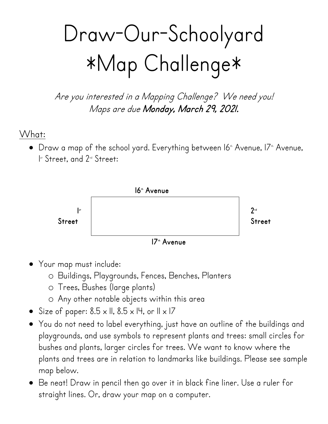## Draw-Our-Schoolyard \*Map Challenge\*

Are you interested in a Mapping Challenge? We need you! Maps are due Monday, March 29, 2021.

What:

 $\bullet~$  Draw a map of the school yard. Everything between I6 $^{\scriptscriptstyle\ast}$  Avenue, I7 $^{\scriptscriptstyle\ast}$  Avenue, 1 Ist Street, and 2<sup>nd</sup> Street:



- Your map must include:
	- o Buildings, Playgrounds, Fences, Benches, Planters
	- o Trees, Bushes (large plants)
	- o Any other notable objects within this area
- Size of paper:  $8.5 \times 11$ ,  $8.5 \times 14$ , or  $11 \times 17$
- You do not need to label everything, just have an outline of the buildings and playgrounds, and use symbols to represent plants and trees: small circles for bushes and plants, larger circles for trees. We want to know where the plants and trees are in relation to landmarks like buildings. Please see sample map below.
- Be neat! Draw in pencil then go over it in black fine liner. Use a ruler for straight lines. Or, draw your map on a computer.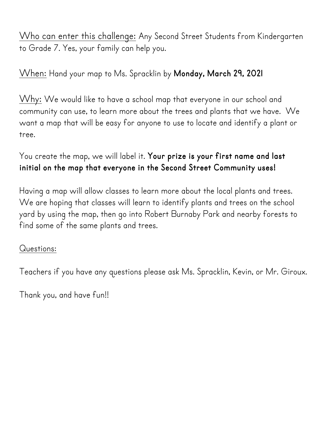Who can enter this challenge: Any Second Street Students from Kindergarten to Grade 7. Yes, your family can help you.

When: Hand your map to Ms. Spracklin by **Monday, March 29, 2021**

Why: We would like to have a school map that everyone in our school and community can use, to learn more about the trees and plants that we have. We want a map that will be easy for anyone to use to locate and identify a plant or tree.

## You create the map, we will label it. **Your prize is your first name and last initial on the map that everyone in the Second Street Community uses!**

Having a map will allow classes to learn more about the local plants and trees. We are hoping that classes will learn to identify plants and trees on the school yard by using the map, then go into Robert Burnaby Park and nearby forests to find some of the same plants and trees.

## Questions:

Teachers if you have any questions please ask Ms. Spracklin, Kevin, or Mr. Giroux.

Thank you, and have fun!!